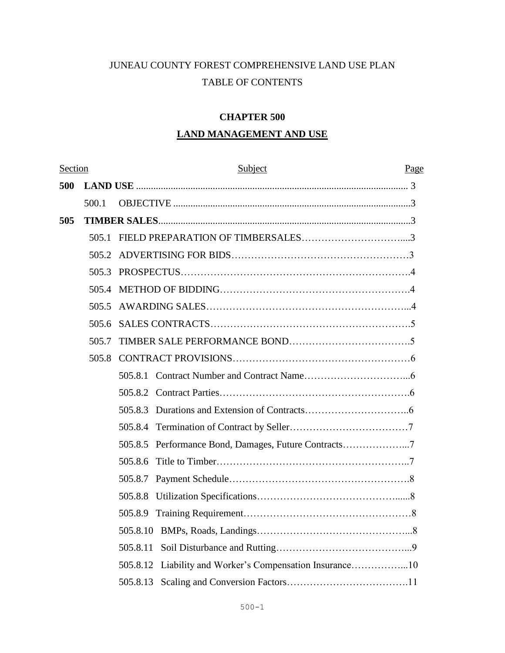# JUNEAU COUNTY FOREST COMPREHENSIVE LAND USE PLAN TABLE OF CONTENTS

# **CHAPTER 500**

# **LAND MANAGEMENT AND USE**

| Section |       | Subject  | Page |
|---------|-------|----------|------|
| 500     |       |          |      |
|         | 500.1 |          |      |
| 505     |       |          |      |
|         | 505.1 |          |      |
|         | 505.2 |          |      |
|         | 505.3 |          |      |
|         | 505.4 |          |      |
|         | 505.5 |          |      |
|         | 505.6 |          |      |
|         | 505.7 |          |      |
|         | 505.8 |          |      |
|         |       |          |      |
|         |       | 505.8.2  |      |
|         |       | 505.8.3  |      |
|         |       | 505.8.4  |      |
|         |       | 505.8.5  |      |
|         |       | 505.8.6  |      |
|         |       | 505.8.7  |      |
|         |       | 505.8.8  |      |
|         |       | 505.8.9  |      |
|         |       | 505.8.10 |      |
|         |       | 505.8.11 |      |
|         |       | 505.8.12 |      |
|         |       | 505.8.13 |      |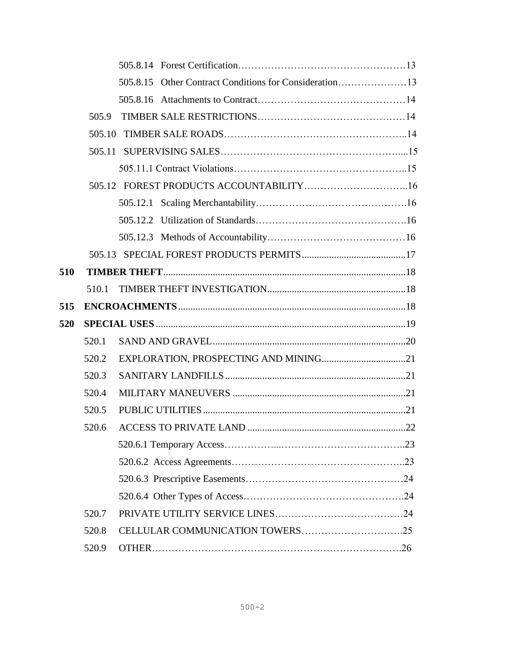|     |        | 505.8.15 Other Contract Conditions for Consideration13 |     |
|-----|--------|--------------------------------------------------------|-----|
|     |        |                                                        |     |
|     | 505.9  |                                                        |     |
|     | 505.10 |                                                        |     |
|     |        |                                                        |     |
|     |        |                                                        |     |
|     |        |                                                        |     |
|     |        |                                                        |     |
|     |        |                                                        |     |
|     |        |                                                        |     |
|     |        |                                                        |     |
| 510 |        |                                                        |     |
|     | 510.1  |                                                        |     |
| 515 |        |                                                        |     |
| 520 |        |                                                        |     |
|     | 520.1  |                                                        |     |
|     | 520.2  |                                                        |     |
|     | 520.3  |                                                        |     |
|     | 520.4  |                                                        |     |
|     | 520.5  |                                                        |     |
|     |        |                                                        | .22 |
|     |        |                                                        |     |
|     |        |                                                        |     |
|     |        |                                                        |     |
|     |        |                                                        |     |
|     | 520.7  |                                                        |     |
|     | 520.8  |                                                        |     |
|     | 520.9  |                                                        |     |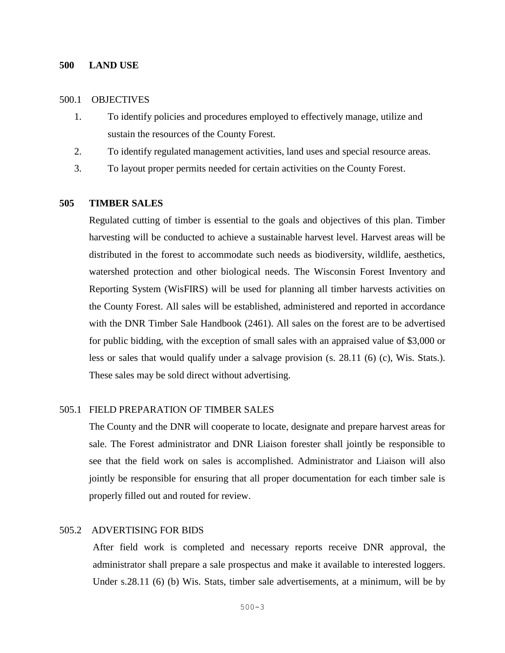#### **500 LAND USE**

### 500.1 OBJECTIVES

- 1. To identify policies and procedures employed to effectively manage, utilize and sustain the resources of the County Forest.
- 2. To identify regulated management activities, land uses and special resource areas.
- 3. To layout proper permits needed for certain activities on the County Forest.

#### **505 TIMBER SALES**

Regulated cutting of timber is essential to the goals and objectives of this plan. Timber harvesting will be conducted to achieve a sustainable harvest level. Harvest areas will be distributed in the forest to accommodate such needs as biodiversity, wildlife, aesthetics, watershed protection and other biological needs. The Wisconsin Forest Inventory and Reporting System (WisFIRS) will be used for planning all timber harvests activities on the County Forest. All sales will be established, administered and reported in accordance with the DNR Timber Sale Handbook (2461). All sales on the forest are to be advertised for public bidding, with the exception of small sales with an appraised value of \$3,000 or less or sales that would qualify under a salvage provision (s. 28.11 (6) (c), Wis. Stats.). These sales may be sold direct without advertising.

### 505.1 FIELD PREPARATION OF TIMBER SALES

The County and the DNR will cooperate to locate, designate and prepare harvest areas for sale. The Forest administrator and DNR Liaison forester shall jointly be responsible to see that the field work on sales is accomplished. Administrator and Liaison will also jointly be responsible for ensuring that all proper documentation for each timber sale is properly filled out and routed for review.

### 505.2ADVERTISING FOR BIDS

After field work is completed and necessary reports receive DNR approval, the administrator shall prepare a sale prospectus and make it available to interested loggers. Under s.28.11 (6) (b) Wis. Stats, timber sale advertisements, at a minimum, will be by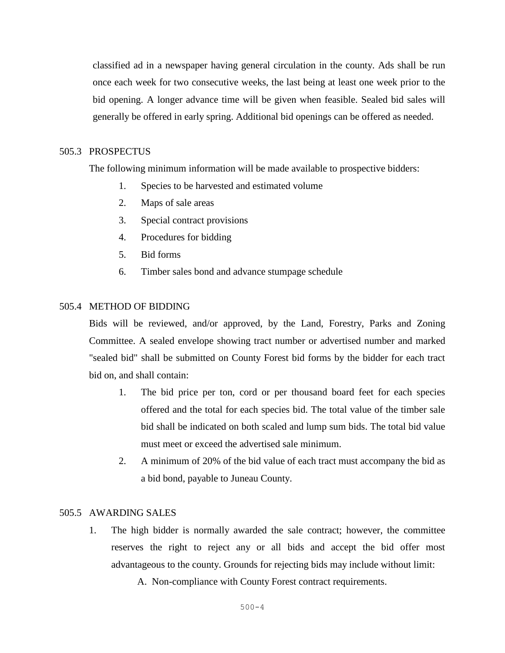classified ad in a newspaper having general circulation in the county. Ads shall be run once each week for two consecutive weeks, the last being at least one week prior to the bid opening. A longer advance time will be given when feasible. Sealed bid sales will generally be offered in early spring. Additional bid openings can be offered as needed.

### 505.3PROSPECTUS

The following minimum information will be made available to prospective bidders:

- 1. Species to be harvested and estimated volume
- 2. Maps of sale areas
- 3. Special contract provisions
- 4. Procedures for bidding
- 5. Bid forms
- 6. Timber sales bond and advance stumpage schedule

#### 505.4METHOD OF BIDDING

Bids will be reviewed, and/or approved, by the Land, Forestry, Parks and Zoning Committee. A sealed envelope showing tract number or advertised number and marked "sealed bid" shall be submitted on County Forest bid forms by the bidder for each tract bid on, and shall contain:

- 1. The bid price per ton, cord or per thousand board feet for each species offered and the total for each species bid. The total value of the timber sale bid shall be indicated on both scaled and lump sum bids. The total bid value must meet or exceed the advertised sale minimum.
- 2. A minimum of 20% of the bid value of each tract must accompany the bid as a bid bond, payable to Juneau County.

### 505.5AWARDING SALES

1. The high bidder is normally awarded the sale contract; however, the committee reserves the right to reject any or all bids and accept the bid offer most advantageous to the county. Grounds for rejecting bids may include without limit:

A. Non-compliance with County Forest contract requirements.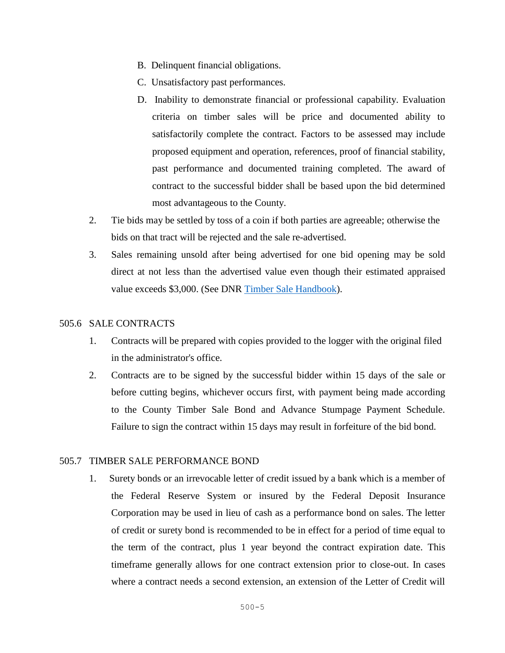- B. Delinquent financial obligations.
- C. Unsatisfactory past performances.
- D. Inability to demonstrate financial or professional capability. Evaluation criteria on timber sales will be price and documented ability to satisfactorily complete the contract. Factors to be assessed may include proposed equipment and operation, references, proof of financial stability, past performance and documented training completed. The award of contract to the successful bidder shall be based upon the bid determined most advantageous to the County.
- 2. Tie bids may be settled by toss of a coin if both parties are agreeable; otherwise the bids on that tract will be rejected and the sale re-advertised.
- 3. Sales remaining unsold after being advertised for one bid opening may be sold direct at not less than the advertised value even though their estimated appraised value exceeds \$3,000. (See DNR [Timber Sale Handbook\)](https://dnr.wi.gov/topic/TimberSales/documents/2461.pdf).

### 505.6SALE CONTRACTS

- 1. Contracts will be prepared with copies provided to the logger with the original filed in the administrator's office.
- 2. Contracts are to be signed by the successful bidder within 15 days of the sale or before cutting begins, whichever occurs first, with payment being made according to the County Timber Sale Bond and Advance Stumpage Payment Schedule. Failure to sign the contract within 15 days may result in forfeiture of the bid bond.

### 505.7 TIMBER SALE PERFORMANCE BOND

1. Surety bonds or an irrevocable letter of credit issued by a bank which is a member of the Federal Reserve System or insured by the Federal Deposit Insurance Corporation may be used in lieu of cash as a performance bond on sales. The letter of credit or surety bond is recommended to be in effect for a period of time equal to the term of the contract, plus 1 year beyond the contract expiration date. This timeframe generally allows for one contract extension prior to close-out. In cases where a contract needs a second extension, an extension of the Letter of Credit will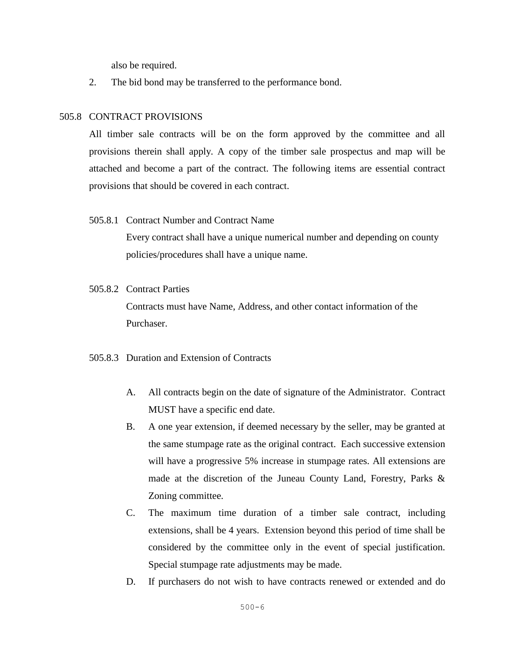also be required.

2. The bid bond may be transferred to the performance bond.

### 505.8 CONTRACT PROVISIONS

All timber sale contracts will be on the form approved by the committee and all provisions therein shall apply. A copy of the timber sale prospectus and map will be attached and become a part of the contract. The following items are essential contract provisions that should be covered in each contract.

505.8.1 Contract Number and Contract Name

Every contract shall have a unique numerical number and depending on county policies/procedures shall have a unique name.

505.8.2 Contract Parties

Contracts must have Name, Address, and other contact information of the Purchaser.

### 505.8.3 Duration and Extension of Contracts

- A. All contracts begin on the date of signature of the Administrator. Contract MUST have a specific end date.
- B. A one year extension, if deemed necessary by the seller, may be granted at the same stumpage rate as the original contract. Each successive extension will have a progressive 5% increase in stumpage rates. All extensions are made at the discretion of the Juneau County Land, Forestry, Parks & Zoning committee.
- C. The maximum time duration of a timber sale contract, including extensions, shall be 4 years. Extension beyond this period of time shall be considered by the committee only in the event of special justification. Special stumpage rate adjustments may be made.
- D. If purchasers do not wish to have contracts renewed or extended and do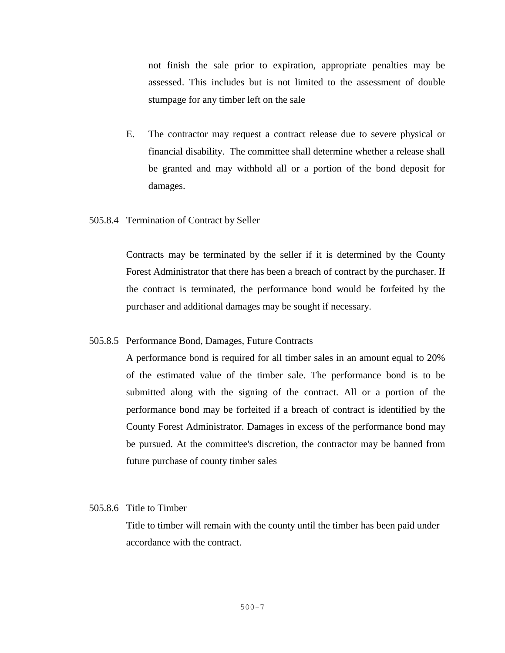not finish the sale prior to expiration, appropriate penalties may be assessed. This includes but is not limited to the assessment of double stumpage for any timber left on the sale

- E. The contractor may request a contract release due to severe physical or financial disability. The committee shall determine whether a release shall be granted and may withhold all or a portion of the bond deposit for damages.
- 505.8.4 Termination of Contract by Seller

Contracts may be terminated by the seller if it is determined by the County Forest Administrator that there has been a breach of contract by the purchaser. If the contract is terminated, the performance bond would be forfeited by the purchaser and additional damages may be sought if necessary.

505.8.5 Performance Bond, Damages, Future Contracts

A performance bond is required for all timber sales in an amount equal to 20% of the estimated value of the timber sale. The performance bond is to be submitted along with the signing of the contract. All or a portion of the performance bond may be forfeited if a breach of contract is identified by the County Forest Administrator. Damages in excess of the performance bond may be pursued. At the committee's discretion, the contractor may be banned from future purchase of county timber sales

### 505.8.6 Title to Timber

Title to timber will remain with the county until the timber has been paid under accordance with the contract.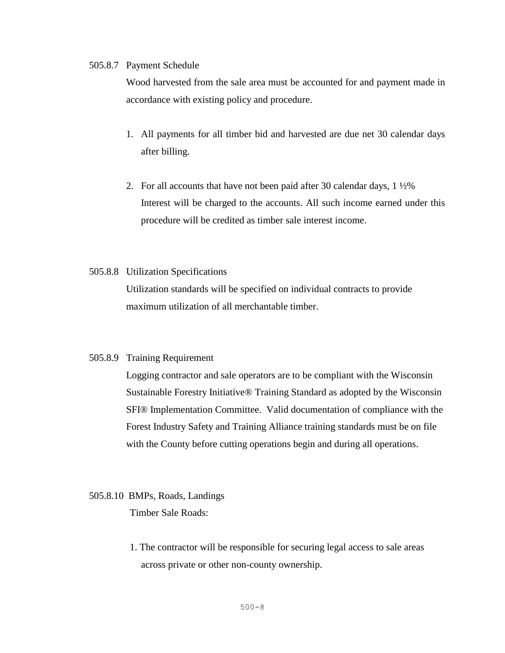#### 505.8.7 Payment Schedule

Wood harvested from the sale area must be accounted for and payment made in accordance with existing policy and procedure.

- 1. All payments for all timber bid and harvested are due net 30 calendar days after billing.
- 2. For all accounts that have not been paid after 30 calendar days, 1 ½% Interest will be charged to the accounts. All such income earned under this procedure will be credited as timber sale interest income.

### 505.8.8 Utilization Specifications

Utilization standards will be specified on individual contracts to provide maximum utilization of all merchantable timber.

### 505.8.9 Training Requirement

Logging contractor and sale operators are to be compliant with the Wisconsin Sustainable Forestry Initiative® Training Standard as adopted by the Wisconsin SFI® Implementation Committee. Valid documentation of compliance with the Forest Industry Safety and Training Alliance training standards must be on file with the County before cutting operations begin and during all operations.

### 505.8.10 BMPs, Roads, Landings

Timber Sale Roads:

1. The contractor will be responsible for securing legal access to sale areas across private or other non-county ownership.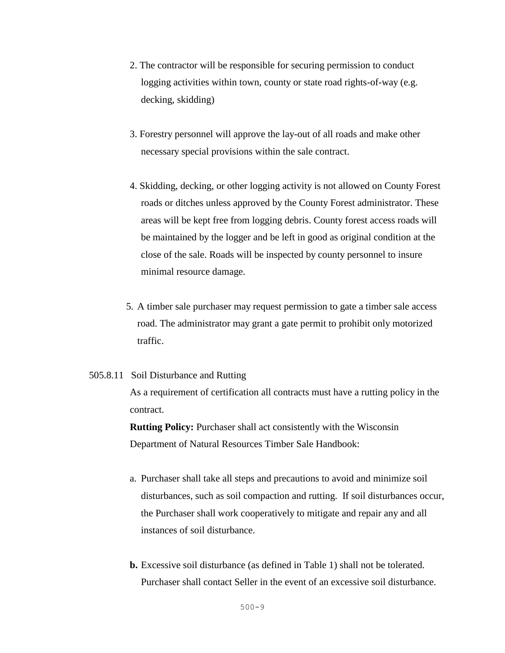- 2. The contractor will be responsible for securing permission to conduct logging activities within town, county or state road rights-of-way (e.g. decking, skidding)
- 3. Forestry personnel will approve the lay-out of all roads and make other necessary special provisions within the sale contract.
- 4. Skidding, decking, or other logging activity is not allowed on County Forest roads or ditches unless approved by the County Forest administrator. These areas will be kept free from logging debris. County forest access roads will be maintained by the logger and be left in good as original condition at the close of the sale. Roads will be inspected by county personnel to insure minimal resource damage.
- 5. A timber sale purchaser may request permission to gate a timber sale access road. The administrator may grant a gate permit to prohibit only motorized traffic.

#### 505.8.11 Soil Disturbance and Rutting

As a requirement of certification all contracts must have a rutting policy in the contract.

**Rutting Policy:** Purchaser shall act consistently with the Wisconsin Department of Natural Resources Timber Sale Handbook:

- a. Purchaser shall take all steps and precautions to avoid and minimize soil disturbances, such as soil compaction and rutting. If soil disturbances occur, the Purchaser shall work cooperatively to mitigate and repair any and all instances of soil disturbance.
- **b.** Excessive soil disturbance (as defined in Table 1) shall not be tolerated. Purchaser shall contact Seller in the event of an excessive soil disturbance.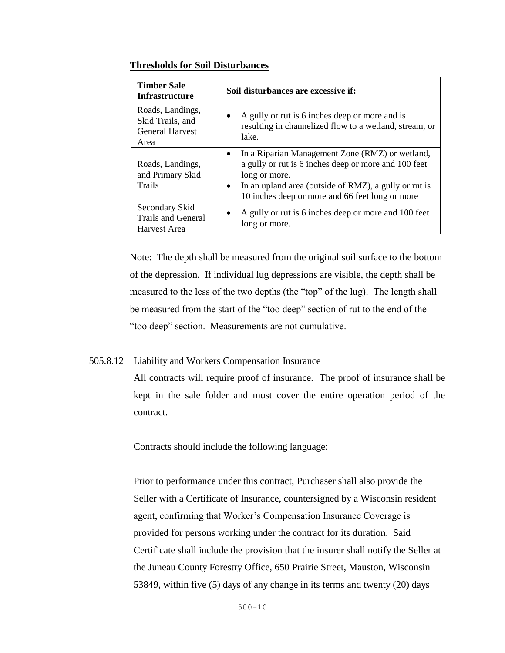### **Thresholds for Soil Disturbances**

| <b>Timber Sale</b><br><b>Infrastructure</b>    | Soil disturbances are excessive if:                                                                                                                                                                                                                            |
|------------------------------------------------|----------------------------------------------------------------------------------------------------------------------------------------------------------------------------------------------------------------------------------------------------------------|
| Roads, Landings,                               | A gully or rut is 6 inches deep or more and is                                                                                                                                                                                                                 |
| Skid Trails, and                               | $\bullet$                                                                                                                                                                                                                                                      |
| <b>General Harvest</b>                         | resulting in channelized flow to a wetland, stream, or                                                                                                                                                                                                         |
| Area                                           | lake.                                                                                                                                                                                                                                                          |
| Roads, Landings,<br>and Primary Skid<br>Trails | In a Riparian Management Zone (RMZ) or wetland,<br>$\bullet$<br>a gully or rut is 6 inches deep or more and 100 feet<br>long or more.<br>In an upland area (outside of RMZ), a gully or rut is<br>$\bullet$<br>10 inches deep or more and 66 feet long or more |
| Secondary Skid                                 | A gully or rut is 6 inches deep or more and 100 feet                                                                                                                                                                                                           |
| <b>Trails and General</b>                      | $\bullet$                                                                                                                                                                                                                                                      |
| Harvest Area                                   | long or more.                                                                                                                                                                                                                                                  |

Note: The depth shall be measured from the original soil surface to the bottom of the depression. If individual lug depressions are visible, the depth shall be measured to the less of the two depths (the "top" of the lug). The length shall be measured from the start of the "too deep" section of rut to the end of the "too deep" section. Measurements are not cumulative.

# 505.8.12 Liability and Workers Compensation Insurance

All contracts will require proof of insurance. The proof of insurance shall be kept in the sale folder and must cover the entire operation period of the contract.

Contracts should include the following language:

Prior to performance under this contract, Purchaser shall also provide the Seller with a Certificate of Insurance, countersigned by a Wisconsin resident agent, confirming that Worker's Compensation Insurance Coverage is provided for persons working under the contract for its duration. Said Certificate shall include the provision that the insurer shall notify the Seller at the Juneau County Forestry Office, 650 Prairie Street, Mauston, Wisconsin 53849, within five (5) days of any change in its terms and twenty (20) days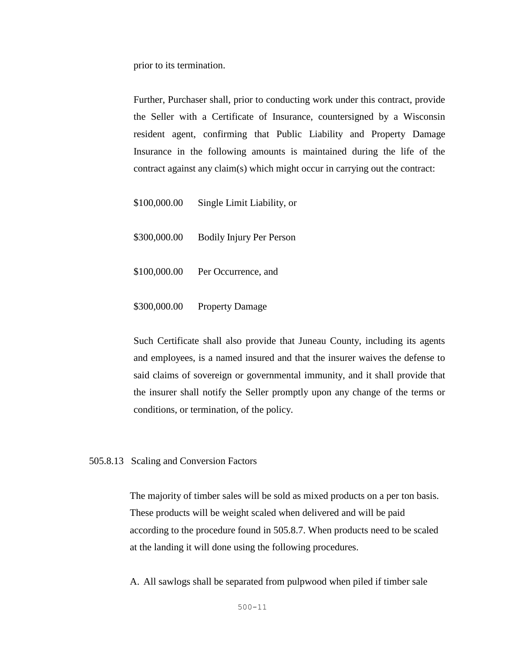prior to its termination.

Further, Purchaser shall, prior to conducting work under this contract, provide the Seller with a Certificate of Insurance, countersigned by a Wisconsin resident agent, confirming that Public Liability and Property Damage Insurance in the following amounts is maintained during the life of the contract against any claim(s) which might occur in carrying out the contract:

\$100,000.00 Single Limit Liability, or

\$300,000.00 Bodily Injury Per Person

- \$100,000.00 Per Occurrence, and
- \$300,000.00 Property Damage

Such Certificate shall also provide that Juneau County, including its agents and employees, is a named insured and that the insurer waives the defense to said claims of sovereign or governmental immunity, and it shall provide that the insurer shall notify the Seller promptly upon any change of the terms or conditions, or termination, of the policy.

#### 505.8.13 Scaling and Conversion Factors

The majority of timber sales will be sold as mixed products on a per ton basis. These products will be weight scaled when delivered and will be paid according to the procedure found in 505.8.7. When products need to be scaled at the landing it will done using the following procedures.

A. All sawlogs shall be separated from pulpwood when piled if timber sale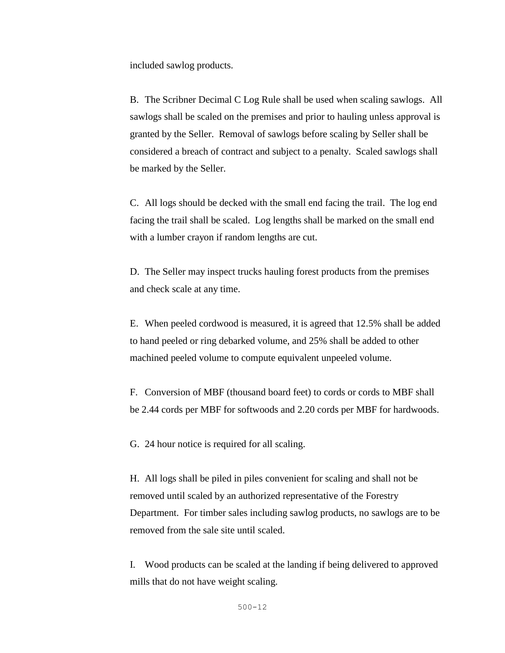included sawlog products.

B. The Scribner Decimal C Log Rule shall be used when scaling sawlogs. All sawlogs shall be scaled on the premises and prior to hauling unless approval is granted by the Seller. Removal of sawlogs before scaling by Seller shall be considered a breach of contract and subject to a penalty. Scaled sawlogs shall be marked by the Seller.

C. All logs should be decked with the small end facing the trail. The log end facing the trail shall be scaled. Log lengths shall be marked on the small end with a lumber crayon if random lengths are cut.

D. The Seller may inspect trucks hauling forest products from the premises and check scale at any time.

E. When peeled cordwood is measured, it is agreed that 12.5% shall be added to hand peeled or ring debarked volume, and 25% shall be added to other machined peeled volume to compute equivalent unpeeled volume.

F. Conversion of MBF (thousand board feet) to cords or cords to MBF shall be 2.44 cords per MBF for softwoods and 2.20 cords per MBF for hardwoods.

G. 24 hour notice is required for all scaling.

H. All logs shall be piled in piles convenient for scaling and shall not be removed until scaled by an authorized representative of the Forestry Department. For timber sales including sawlog products, no sawlogs are to be removed from the sale site until scaled.

I. Wood products can be scaled at the landing if being delivered to approved mills that do not have weight scaling.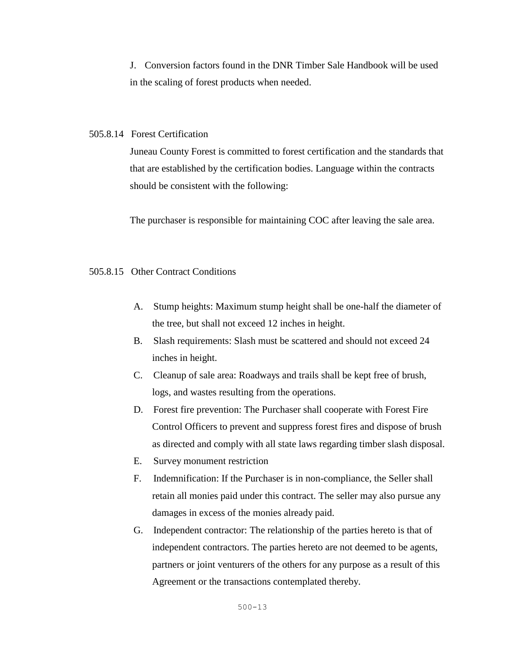J. Conversion factors found in the DNR Timber Sale Handbook will be used in the scaling of forest products when needed.

### 505.8.14 Forest Certification

Juneau County Forest is committed to forest certification and the standards that that are established by the certification bodies. Language within the contracts should be consistent with the following:

The purchaser is responsible for maintaining COC after leaving the sale area.

### 505.8.15 Other Contract Conditions

- A. Stump heights: Maximum stump height shall be one-half the diameter of the tree, but shall not exceed 12 inches in height.
- B. Slash requirements: Slash must be scattered and should not exceed 24 inches in height.
- C. Cleanup of sale area: Roadways and trails shall be kept free of brush, logs, and wastes resulting from the operations.
- D. Forest fire prevention: The Purchaser shall cooperate with Forest Fire Control Officers to prevent and suppress forest fires and dispose of brush as directed and comply with all state laws regarding timber slash disposal.
- E. Survey monument restriction
- F. Indemnification: If the Purchaser is in non-compliance, the Seller shall retain all monies paid under this contract. The seller may also pursue any damages in excess of the monies already paid.
- G. Independent contractor: The relationship of the parties hereto is that of independent contractors. The parties hereto are not deemed to be agents, partners or joint venturers of the others for any purpose as a result of this Agreement or the transactions contemplated thereby.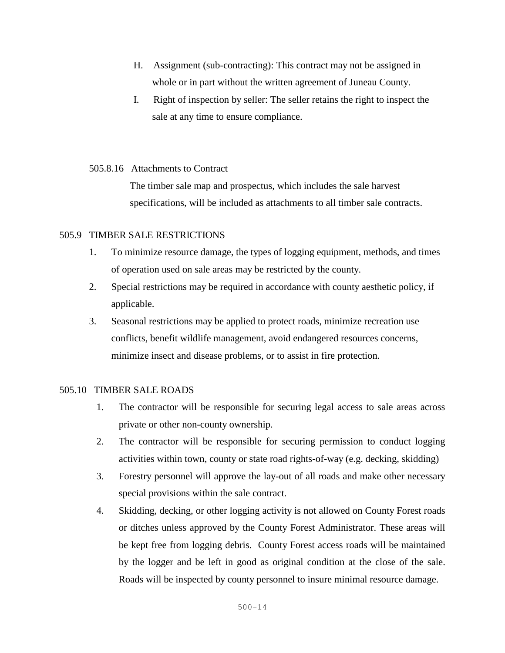- H. Assignment (sub-contracting): This contract may not be assigned in whole or in part without the written agreement of Juneau County.
- I. Right of inspection by seller: The seller retains the right to inspect the sale at any time to ensure compliance.

### 505.8.16 Attachments to Contract

The timber sale map and prospectus, which includes the sale harvest specifications, will be included as attachments to all timber sale contracts.

### 505.9TIMBER SALE RESTRICTIONS

- 1. To minimize resource damage, the types of logging equipment, methods, and times of operation used on sale areas may be restricted by the county.
- 2. Special restrictions may be required in accordance with county aesthetic policy, if applicable.
- 3. Seasonal restrictions may be applied to protect roads, minimize recreation use conflicts, benefit wildlife management, avoid endangered resources concerns, minimize insect and disease problems, or to assist in fire protection.

# 505.10 TIMBER SALE ROADS

- 1. The contractor will be responsible for securing legal access to sale areas across private or other non-county ownership.
- 2. The contractor will be responsible for securing permission to conduct logging activities within town, county or state road rights-of-way (e.g. decking, skidding)
- 3. Forestry personnel will approve the lay-out of all roads and make other necessary special provisions within the sale contract.
- 4. Skidding, decking, or other logging activity is not allowed on County Forest roads or ditches unless approved by the County Forest Administrator. These areas will be kept free from logging debris. County Forest access roads will be maintained by the logger and be left in good as original condition at the close of the sale. Roads will be inspected by county personnel to insure minimal resource damage.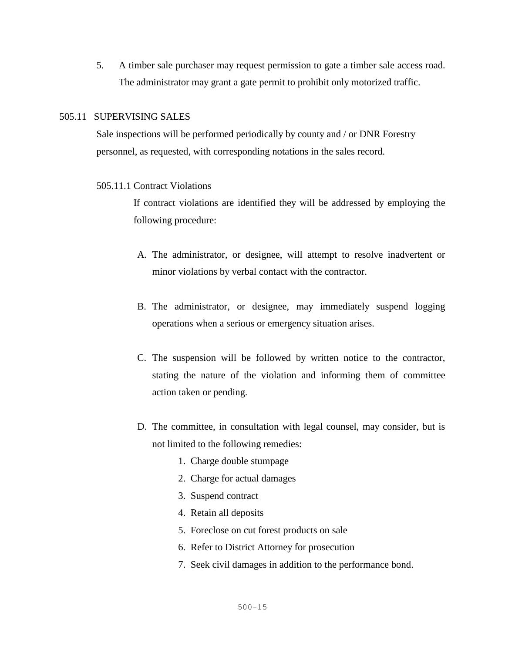5. A timber sale purchaser may request permission to gate a timber sale access road. The administrator may grant a gate permit to prohibit only motorized traffic.

### 505.11SUPERVISING SALES

 Sale inspections will be performed periodically by county and / or DNR Forestry personnel, as requested, with corresponding notations in the sales record.

### 505.11.1 Contract Violations

If contract violations are identified they will be addressed by employing the following procedure:

- A. The administrator, or designee, will attempt to resolve inadvertent or minor violations by verbal contact with the contractor.
- B. The administrator, or designee, may immediately suspend logging operations when a serious or emergency situation arises.
- C. The suspension will be followed by written notice to the contractor, stating the nature of the violation and informing them of committee action taken or pending.
- D. The committee, in consultation with legal counsel, may consider, but is not limited to the following remedies:
	- 1. Charge double stumpage
	- 2. Charge for actual damages
	- 3. Suspend contract
	- 4. Retain all deposits
	- 5. Foreclose on cut forest products on sale
	- 6. Refer to District Attorney for prosecution
	- 7. Seek civil damages in addition to the performance bond.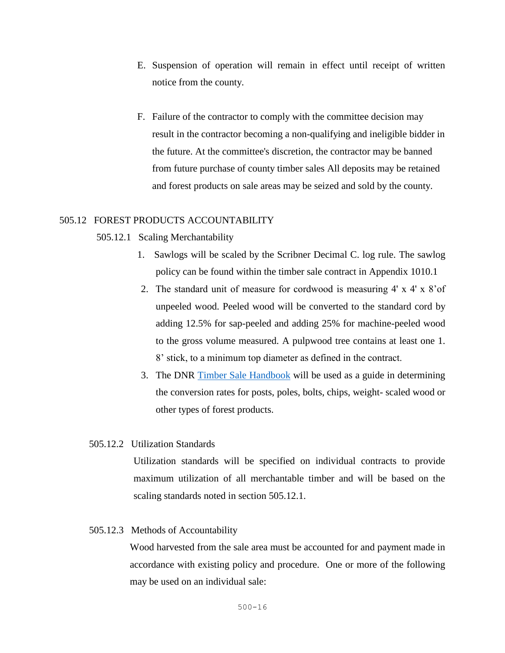- E. Suspension of operation will remain in effect until receipt of written notice from the county.
- F. Failure of the contractor to comply with the committee decision may result in the contractor becoming a non-qualifying and ineligible bidder in the future. At the committee's discretion, the contractor may be banned from future purchase of county timber sales All deposits may be retained and forest products on sale areas may be seized and sold by the county.

### 505.12FOREST PRODUCTS ACCOUNTABILITY

#### 505.12.1Scaling Merchantability

- 1. Sawlogs will be scaled by the Scribner Decimal C. log rule. The sawlog policy can be found within the timber sale contract in Appendix 1010.1
- 2. The standard unit of measure for cordwood is measuring 4' x 4' x 8'of unpeeled wood. Peeled wood will be converted to the standard cord by adding 12.5% for sap-peeled and adding 25% for machine-peeled wood to the gross volume measured. A pulpwood tree contains at least one 1. 8' stick, to a minimum top diameter as defined in the contract.
- 3. The DNR [Timber Sale Handbook](https://dnr.wi.gov/topic/TimberSales/documents/2461.pdf) will be used as a guide in determining the conversion rates for posts, poles, bolts, chips, weight- scaled wood or other types of forest products.

### 505.12.2Utilization Standards

Utilization standards will be specified on individual contracts to provide maximum utilization of all merchantable timber and will be based on the scaling standards noted in section 505.12.1.

### 505.12.3Methods of Accountability

Wood harvested from the sale area must be accounted for and payment made in accordance with existing policy and procedure. One or more of the following may be used on an individual sale: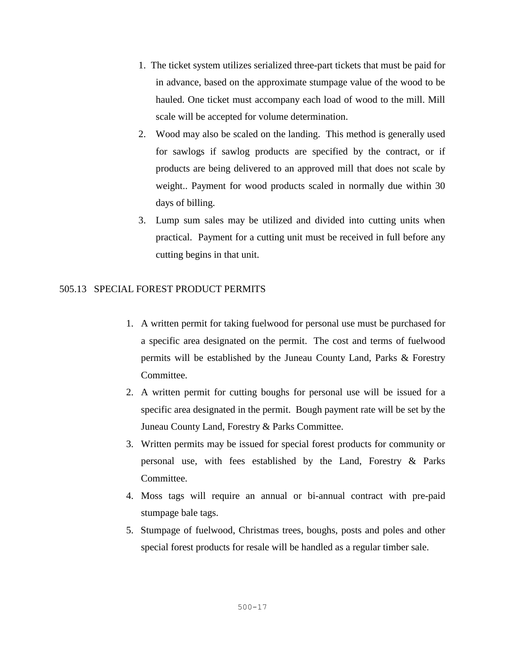- 1. The ticket system utilizes serialized three-part tickets that must be paid for in advance, based on the approximate stumpage value of the wood to be hauled. One ticket must accompany each load of wood to the mill. Mill scale will be accepted for volume determination.
- 2. Wood may also be scaled on the landing. This method is generally used for sawlogs if sawlog products are specified by the contract, or if products are being delivered to an approved mill that does not scale by weight.. Payment for wood products scaled in normally due within 30 days of billing.
- 3. Lump sum sales may be utilized and divided into cutting units when practical. Payment for a cutting unit must be received in full before any cutting begins in that unit.

# 505.13 SPECIAL FOREST PRODUCT PERMITS

- 1. A written permit for taking fuelwood for personal use must be purchased for a specific area designated on the permit. The cost and terms of fuelwood permits will be established by the Juneau County Land, Parks & Forestry Committee.
- 2. A written permit for cutting boughs for personal use will be issued for a specific area designated in the permit. Bough payment rate will be set by the Juneau County Land, Forestry & Parks Committee.
- 3. Written permits may be issued for special forest products for community or personal use, with fees established by the Land, Forestry & Parks Committee.
- 4. Moss tags will require an annual or bi-annual contract with pre-paid stumpage bale tags.
- 5. Stumpage of fuelwood, Christmas trees, boughs, posts and poles and other special forest products for resale will be handled as a regular timber sale.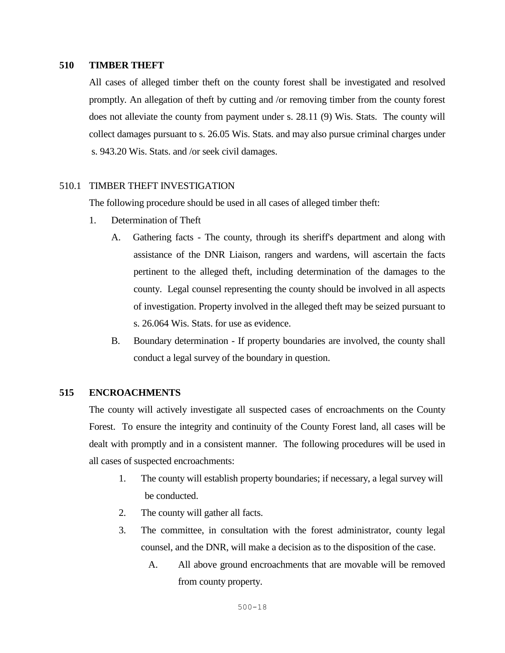### **510 TIMBER THEFT**

All cases of alleged timber theft on the county forest shall be investigated and resolved promptly. An allegation of theft by cutting and /or removing timber from the county forest does not alleviate the county from payment under s. 28.11 (9) Wis. Stats. The county will collect damages pursuant to s. 26.05 Wis. Stats. and may also pursue criminal charges under s. 943.20 Wis. Stats. and /or seek civil damages.

### 510.1 TIMBER THEFT INVESTIGATION

The following procedure should be used in all cases of alleged timber theft:

- 1. Determination of Theft
	- A. Gathering facts The county, through its sheriff's department and along with assistance of the DNR Liaison, rangers and wardens, will ascertain the facts pertinent to the alleged theft, including determination of the damages to the county. Legal counsel representing the county should be involved in all aspects of investigation. Property involved in the alleged theft may be seized pursuant to s. 26.064 Wis. Stats. for use as evidence.
	- B. Boundary determination If property boundaries are involved, the county shall conduct a legal survey of the boundary in question.

### **515 ENCROACHMENTS**

The county will actively investigate all suspected cases of encroachments on the County Forest. To ensure the integrity and continuity of the County Forest land, all cases will be dealt with promptly and in a consistent manner. The following procedures will be used in all cases of suspected encroachments:

- 1. The county will establish property boundaries; if necessary, a legal survey will be conducted.
- 2. The county will gather all facts.
- 3. The committee, in consultation with the forest administrator, county legal counsel, and the DNR, will make a decision as to the disposition of the case.
	- A. All above ground encroachments that are movable will be removed from county property.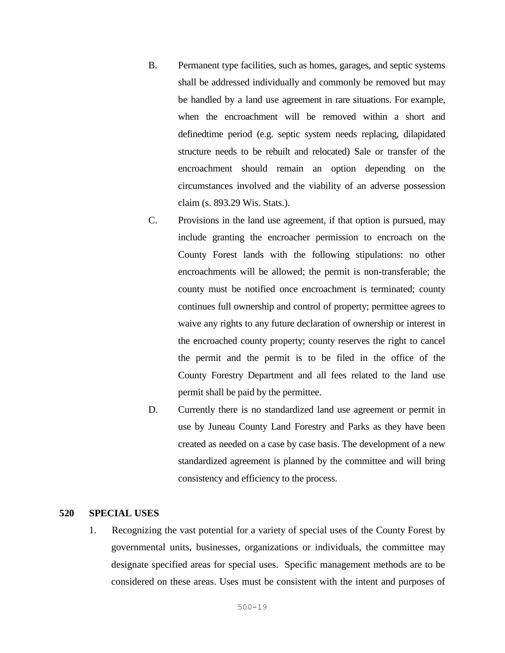- B. Permanent type facilities, such as homes, garages, and septic systems shall be addressed individually and commonly be removed but may be handled by a land use agreement in rare situations. For example, when the encroachment will be removed within a short and definedtime period (e.g. septic system needs replacing, dilapidated structure needs to be rebuilt and relocated) Sale or transfer of the encroachment should remain an option depending on the circumstances involved and the viability of an adverse possession claim (s. 893.29 Wis. Stats.).
- C. Provisions in the land use agreement, if that option is pursued, may include granting the encroacher permission to encroach on the County Forest lands with the following stipulations: no other encroachments will be allowed; the permit is non-transferable; the county must be notified once encroachment is terminated; county continues full ownership and control of property; permittee agrees to waive any rights to any future declaration of ownership or interest in the encroached county property; county reserves the right to cancel the permit and the permit is to be filed in the office of the County Forestry Department and all fees related to the land use permit shall be paid by the permittee.
- D. Currently there is no standardized land use agreement or permit in use by Juneau County Land Forestry and Parks as they have been created as needed on a case by case basis. The development of a new standardized agreement is planned by the committee and will bring consistency and efficiency to the process.

### **520 SPECIAL USES**

1. Recognizing the vast potential for a variety of special uses of the County Forest by governmental units, businesses, organizations or individuals, the committee may designate specified areas for special uses. Specific management methods are to be considered on these areas. Uses must be consistent with the intent and purposes of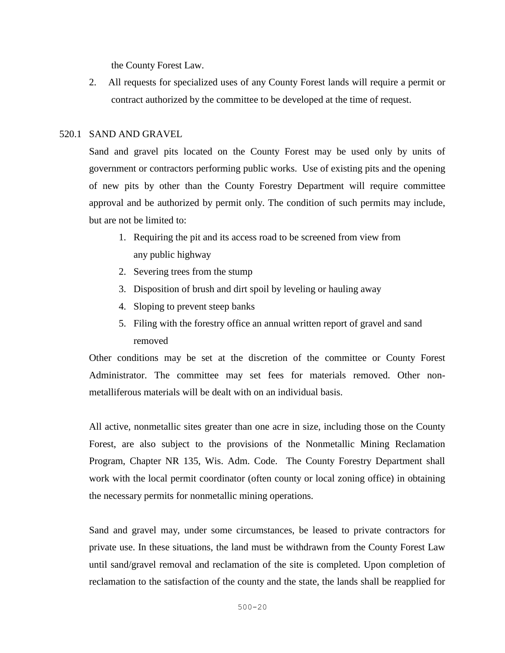the County Forest Law.

2. All requests for specialized uses of any County Forest lands will require a permit or contract authorized by the committee to be developed at the time of request.

### 520.1 SAND AND GRAVEL

Sand and gravel pits located on the County Forest may be used only by units of government or contractors performing public works. Use of existing pits and the opening of new pits by other than the County Forestry Department will require committee approval and be authorized by permit only. The condition of such permits may include, but are not be limited to:

- 1. Requiring the pit and its access road to be screened from view from any public highway
- 2. Severing trees from the stump
- 3. Disposition of brush and dirt spoil by leveling or hauling away
- 4. Sloping to prevent steep banks
- 5. Filing with the forestry office an annual written report of gravel and sand removed

Other conditions may be set at the discretion of the committee or County Forest Administrator. The committee may set fees for materials removed. Other nonmetalliferous materials will be dealt with on an individual basis.

All active, nonmetallic sites greater than one acre in size, including those on the County Forest, are also subject to the provisions of the Nonmetallic Mining Reclamation Program, Chapter NR 135, Wis. Adm. Code. The County Forestry Department shall work with the local permit coordinator (often county or local zoning office) in obtaining the necessary permits for nonmetallic mining operations.

Sand and gravel may, under some circumstances, be leased to private contractors for private use. In these situations, the land must be withdrawn from the County Forest Law until sand/gravel removal and reclamation of the site is completed. Upon completion of reclamation to the satisfaction of the county and the state, the lands shall be reapplied for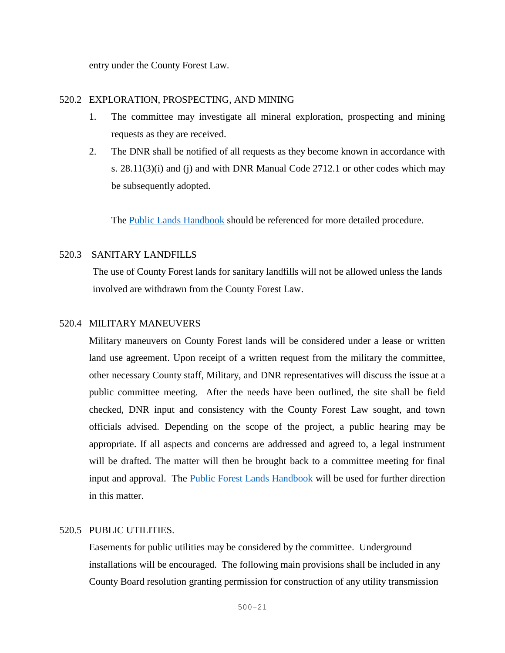entry under the County Forest Law.

# 520.2 EXPLORATION, PROSPECTING, AND MINING

- 1. The committee may investigate all mineral exploration, prospecting and mining requests as they are received.
- 2. The DNR shall be notified of all requests as they become known in accordance with s.  $28.11(3)(i)$  and (j) and with DNR Manual Code  $2712.1$  or other codes which may be subsequently adopted.

The [Public Lands Handbook](https://dnr.wi.gov/topic/ForestManagement/documents/24605.pdf) should be referenced for more detailed procedure.

# 520.3 SANITARY LANDFILLS

The use of County Forest lands for sanitary landfills will not be allowed unless the lands involved are withdrawn from the County Forest Law.

# 520.4 MILITARY MANEUVERS

Military maneuvers on County Forest lands will be considered under a lease or written land use agreement. Upon receipt of a written request from the military the committee, other necessary County staff, Military, and DNR representatives will discuss the issue at a public committee meeting. After the needs have been outlined, the site shall be field checked, DNR input and consistency with the County Forest Law sought, and town officials advised. Depending on the scope of the project, a public hearing may be appropriate. If all aspects and concerns are addressed and agreed to, a legal instrument will be drafted. The matter will then be brought back to a committee meeting for final input and approval. The [Public Forest Lands Handbook](https://dnr.wi.gov/topic/ForestManagement/documents/24605.pdf) will be used for further direction in this matter.

# 520.5 PUBLIC UTILITIES.

Easements for public utilities may be considered by the committee. Underground installations will be encouraged. The following main provisions shall be included in any County Board resolution granting permission for construction of any utility transmission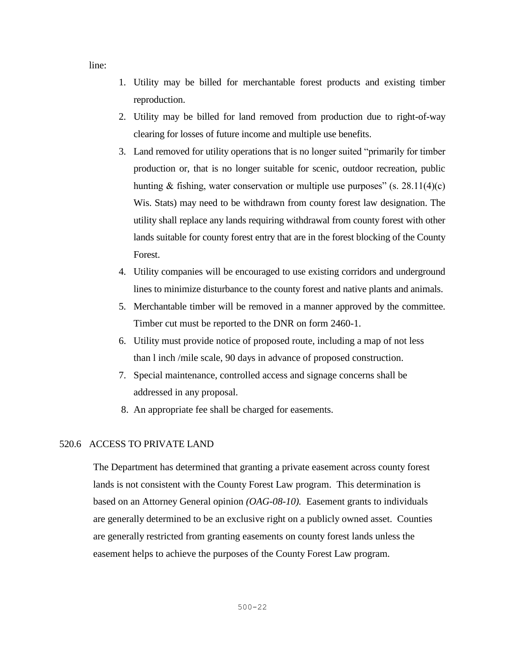line:

- 1. Utility may be billed for merchantable forest products and existing timber reproduction.
- 2. Utility may be billed for land removed from production due to right-of-way clearing for losses of future income and multiple use benefits.
- 3. Land removed for utility operations that is no longer suited "primarily for timber production or, that is no longer suitable for scenic, outdoor recreation, public hunting & fishing, water conservation or multiple use purposes" (s.  $28.11(4)(c)$ ) Wis. Stats) may need to be withdrawn from county forest law designation. The utility shall replace any lands requiring withdrawal from county forest with other lands suitable for county forest entry that are in the forest blocking of the County Forest.
- 4. Utility companies will be encouraged to use existing corridors and underground lines to minimize disturbance to the county forest and native plants and animals.
- 5. Merchantable timber will be removed in a manner approved by the committee. Timber cut must be reported to the DNR on form 2460-1.
- 6. Utility must provide notice of proposed route, including a map of not less than l inch /mile scale, 90 days in advance of proposed construction.
- 7. Special maintenance, controlled access and signage concerns shall be addressed in any proposal.
- 8. An appropriate fee shall be charged for easements.

### 520.6 ACCESS TO PRIVATE LAND

The Department has determined that granting a private easement across county forest lands is not consistent with the County Forest Law program. This determination is based on an Attorney General opinion *(OAG-08-10).* Easement grants to individuals are generally determined to be an exclusive right on a publicly owned asset. Counties are generally restricted from granting easements on county forest lands unless the easement helps to achieve the purposes of the County Forest Law program.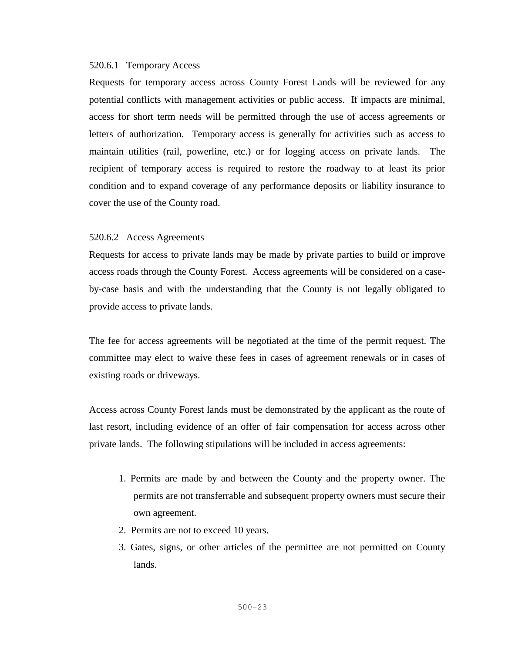### 520.6.1 Temporary Access

Requests for temporary access across County Forest Lands will be reviewed for any potential conflicts with management activities or public access. If impacts are minimal, access for short term needs will be permitted through the use of access agreements or letters of authorization. Temporary access is generally for activities such as access to maintain utilities (rail, powerline, etc.) or for logging access on private lands. The recipient of temporary access is required to restore the roadway to at least its prior condition and to expand coverage of any performance deposits or liability insurance to cover the use of the County road.

#### 520.6.2 Access Agreements

Requests for access to private lands may be made by private parties to build or improve access roads through the County Forest. Access agreements will be considered on a caseby-case basis and with the understanding that the County is not legally obligated to provide access to private lands.

The fee for access agreements will be negotiated at the time of the permit request. The committee may elect to waive these fees in cases of agreement renewals or in cases of existing roads or driveways.

Access across County Forest lands must be demonstrated by the applicant as the route of last resort, including evidence of an offer of fair compensation for access across other private lands. The following stipulations will be included in access agreements:

- 1. Permits are made by and between the County and the property owner. The permits are not transferrable and subsequent property owners must secure their own agreement.
- 2. Permits are not to exceed 10 years.
- 3. Gates, signs, or other articles of the permittee are not permitted on County lands.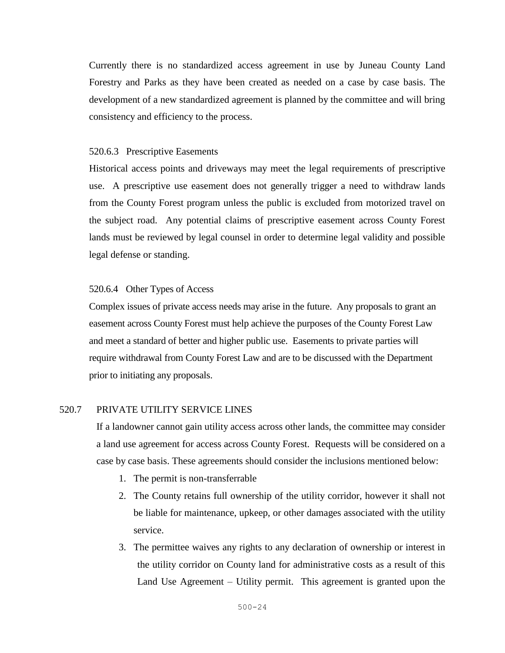Currently there is no standardized access agreement in use by Juneau County Land Forestry and Parks as they have been created as needed on a case by case basis. The development of a new standardized agreement is planned by the committee and will bring consistency and efficiency to the process.

#### 520.6.3 Prescriptive Easements

Historical access points and driveways may meet the legal requirements of prescriptive use. A prescriptive use easement does not generally trigger a need to withdraw lands from the County Forest program unless the public is excluded from motorized travel on the subject road. Any potential claims of prescriptive easement across County Forest lands must be reviewed by legal counsel in order to determine legal validity and possible legal defense or standing.

### 520.6.4 Other Types of Access

Complex issues of private access needs may arise in the future. Any proposals to grant an easement across County Forest must help achieve the purposes of the County Forest Law and meet a standard of better and higher public use. Easements to private parties will require withdrawal from County Forest Law and are to be discussed with the Department prior to initiating any proposals.

### 520.7 PRIVATE UTILITY SERVICE LINES

If a landowner cannot gain utility access across other lands, the committee may consider a land use agreement for access across County Forest. Requests will be considered on a case by case basis. These agreements should consider the inclusions mentioned below:

- 1. The permit is non-transferrable
- 2. The County retains full ownership of the utility corridor, however it shall not be liable for maintenance, upkeep, or other damages associated with the utility service.
- 3. The permittee waives any rights to any declaration of ownership or interest in the utility corridor on County land for administrative costs as a result of this Land Use Agreement – Utility permit. This agreement is granted upon the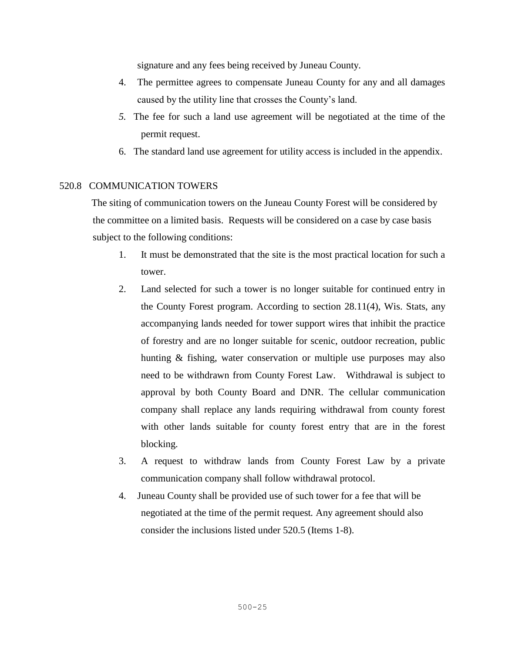signature and any fees being received by Juneau County.

- 4. The permittee agrees to compensate Juneau County for any and all damages caused by the utility line that crosses the County's land.
- *5.* The fee for such a land use agreement will be negotiated at the time of the permit request.
- 6. The standard land use agreement for utility access is included in the appendix.

### 520.8 COMMUNICATION TOWERS

The siting of communication towers on the Juneau County Forest will be considered by the committee on a limited basis. Requests will be considered on a case by case basis subject to the following conditions:

- 1. It must be demonstrated that the site is the most practical location for such a tower.
- 2. Land selected for such a tower is no longer suitable for continued entry in the County Forest program. According to section 28.11(4), Wis. Stats, any accompanying lands needed for tower support wires that inhibit the practice of forestry and are no longer suitable for scenic, outdoor recreation, public hunting & fishing, water conservation or multiple use purposes may also need to be withdrawn from County Forest Law. Withdrawal is subject to approval by both County Board and DNR. The cellular communication company shall replace any lands requiring withdrawal from county forest with other lands suitable for county forest entry that are in the forest blocking.
- 3. A request to withdraw lands from County Forest Law by a private communication company shall follow withdrawal protocol.
- 4. Juneau County shall be provided use of such tower for a fee that will be negotiated at the time of the permit request*.* Any agreement should also consider the inclusions listed under 520.5 (Items 1-8).